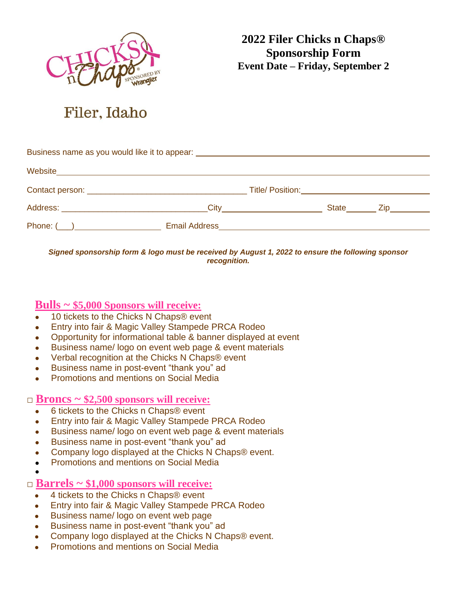

**2022 Filer Chicks n Chaps® Sponsorship Form Event Date – Friday, September 2**

# Filer, Idaho

| Business name as you would like it to appear: __________________________________ |                            |                                                                                                                    |  |                  |  |
|----------------------------------------------------------------------------------|----------------------------|--------------------------------------------------------------------------------------------------------------------|--|------------------|--|
| Website                                                                          |                            |                                                                                                                    |  |                  |  |
|                                                                                  |                            |                                                                                                                    |  |                  |  |
|                                                                                  |                            | <b>City</b> 2008 2014 2015 2022 2023 2024 2025 2026 2027 2027 2028 2021 2022 2023 2021 2022 2023 2026 2027 2027 20 |  | State <u>Cip</u> |  |
|                                                                                  | Email Address <b>Email</b> |                                                                                                                    |  |                  |  |

*Signed sponsorship form & logo must be received by August 1, 2022 to ensure the following sponsor recognition.*

## **Bulls ~ \$5,000 Sponsors will receive:**

- 10 tickets to the Chicks N Chaps<sup>®</sup> event
- Entry into fair & Magic Valley Stampede PRCA Rodeo
- Opportunity for informational table & banner displayed at event
- Business name/logo on event web page & event materials
- Verbal recognition at the Chicks N Chaps<sup>®</sup> event
- Business name in post-event "thank you" ad
- **Promotions and mentions on Social Media**

### **□ Broncs ~ \$2,500 sponsors will receive:**

- 6 tickets to the Chicks n Chaps® event
- Entry into fair & Magic Valley Stampede PRCA Rodeo
- Business name/logo on event web page & event materials
- Business name in post-event "thank you" ad
- Company logo displayed at the Chicks N Chaps® event.
- **Promotions and mentions on Social Media**
- ●

### **□ Barrels ~ \$1,000 sponsors will receive:**

- 4 tickets to the Chicks n Chaps<sup>®</sup> event
- Entry into fair & Magic Valley Stampede PRCA Rodeo
- Business name/ logo on event web page
- Business name in post-event "thank you" ad
- Company logo displayed at the Chicks N Chaps® event.
- **Promotions and mentions on Social Media**